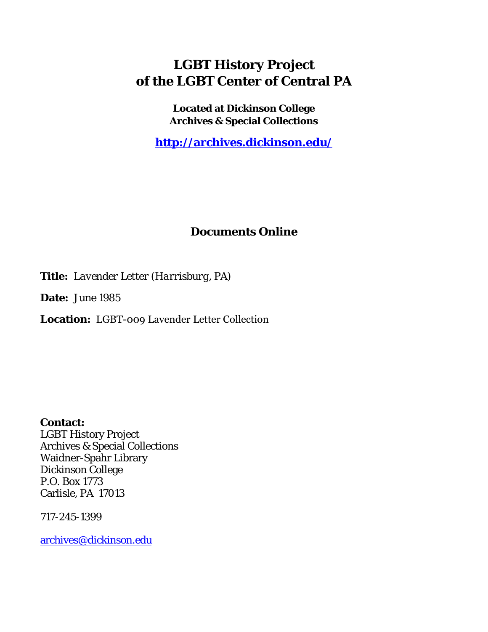## **LGBT History Project of the LGBT Center of Central PA**

**Located at Dickinson College Archives & Special Collections**

**<http://archives.dickinson.edu/>**

## **Documents Online**

**Title:** *Lavender Letter (Harrisburg, PA)*

**Date:** June 1985

**Location:** LGBT-009 Lavender Letter Collection

**Contact:**  LGBT History Project Archives & Special Collections Waidner-Spahr Library Dickinson College P.O. Box 1773 Carlisle, PA 17013

717-245-1399

[archives@dickinson.edu](mailto:archives@dickinson.edu)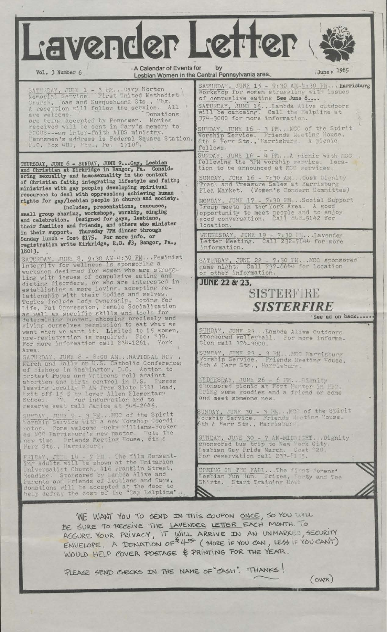Vol. 3 Number 6<br>Lesbian Women in the Central Pennsylvania area. 700 1985 A Calendar of Events for Lavender Letter

Nemorial Service First United Methodist Church, oas and Susquehanna Sts., <sup>Pbg</sup>. A reception will follow the service. All are welcome. are being accepted by Pennsmen. Monies received will be sent in Gary's memory to FOCUS---an inter-faith AIDS ministry Pennsmen's address is Federal Square Station,  $\Gamma$ .O.  $\sqrt{3}$ ox 401, Hb $\sigma$ ., Pa. 1710<sup>0</sup>.

THURSDAY, JUNE 6 - SUNDAY, JUNE 9...Gay, Lesbian and Christian at Kirkridge in Bangor, Pa. Considering sexuality and homosexuality in the context of Christian faith; integrating lifestyle and faith; ministries with gay people; developing spiritual resources to deal with oppression; achieving human rights for gay/lesbian people in church and society. Includes, presentations, caucuses,

small group sharing, workshops, worship, singing and celebration. Designed for gays, lesbians, their families and friends, and others who minister in their support. Thursday 7PM dinner through in their support. Thursday in more info. or registration write Kirkridge, R.D. #3, Bangor, Pa.,

18013.<br>
SATURDAY, JUNE 8, 9:30 AM-4:30 FM...Feminist<br>
Integrity for wellness is sponsoring a workshop designed for women who are struggling with issues of compulsive eating and dieting disorders, or who are interested in establishing a more loving, accepting relationship with their bodies and selves. Topics include tody Ownership, Coping for life, Fat Oppression, Female Socialization as well as specific skills and tools for determining hunger, choosing precisely and giving' ourselves permission to eat what we want when we want it. Limited to <sup>15</sup> women, pre-registration is required. Fee: 30. For more information call 234-1261. York

Area.<br>SATURDAY, JUNE 8 - 8:00 AM...NATIONAL NOW ,<br>March and Rally on U.S. Catholic Conference; of Fishops in Washington, D.C. Action to protest Popes and Vaticans roll against abortion and tirth control in U.S. Fusses leaving locally <sup>P</sup> AM from Slate Fill Road, Exit off 15 S by Lower Allen Elementary School.  $\frac{3}{7}$ . For information and to<br>reserve seat call Janice at  $545-2645$ ,

SUNDAY, JUT: 9 - 3 PM... MOC of the Spirit SUNDAY, JUMB 9 - 3 PM... MCC of the Spirit nator. Come welcome -ucky "illiams-Hooker as MCC Harrisburg's new pastor. Note the new time Friends Meeting House, 6th £ Herr Sts., Harrisburg.

 $J$ U'  $I$ <sup>4</sup> - 7 Fl. The film Consent-<br>ts will be shown at the Unitarian Franklin Street, **FRIDAY, JULL 14 - 7 FM.**<br>ing Adults will be shown Universalist Church, 416 Reading. Sponsored by Lambda Alive and Parents and Friends of Lesbians and Cays, donations will be accepted at the door to help defray the cost of the "Cay Helpline".

Gary Norton SATURDAY, JUNF 15 - 9:30 AM-4:30 PM... Harrisburg<br>mited Methodist Vorkshop for women struggling with issues of compuslive eating See June 8.... SATURDAY, JUNE 15 JUNE 15-•.lambda Alive outdoors

> R 1

> > \*

will be canoeing. 374-3OOO for more information. . Call the Helpline at

SUNDAY, JUNE 16 - 3 FM. . . MCC of the Spirit ^Worship Service. Friends Meeting House, 6th & Herr Sts.,'Harrisburv. <sup>A</sup> picnic fol lows.

 $\overline{SUNDAY}$ , JUNE 16 - 4 PM...A vicnic with MCC following the 3PM worship service. Iocation to be announced at MCC services.

SUNDAY, JUNE 16 - 7:30 AM...Dusk Dignity Trash and Treasure Sales at Harrisburg Flea Market. (Women's Concern Committee)

MONDAY, JUNE 17 - 7:30 PM...Social Support<br>Froup meets in the York Area. A good opportunity to meet people and to enjoy good conversation. Call 843-9142 for location.

WEDNESDAY, JUNE 19 - 7:30 I.... . Lavender Letter Meeting. Call 232-7144 for more information.

SATURDAY, JUNE 22 - 7:30 IM. .. MCC sponsored game night. Call 737-6644 for location or other information.

**JURE 22 & 23,**

## SISTERFIRE *SISTERFIRE* 'See ad on back.....

SUNDA<sup>v</sup>, JUNF\_23 . . Lambda Alive Outdoors sponsored volleyball. For more informa-SUNDAY, JUNE 23 ...<br>sponsored volleybal<br>tion call 374-3000.

SUNDAY, JUNE 23 - 3 PM...MOC Harrisburg<br>Vorship Service. Friends Meeting House,<br>6th & Herr Sts., Harrisburg.

WEDNESDAY, JUNE 26 - 6 PM...... WEDNESDAY, JUNE 26 - 6 PM...Dignity<br>sponsored picnic at Fort Hunter in HEC. Ering some goodies and a friend or come and meet someone new.

SUNDAY, JUNE 30 - 3 PM. .. MOG of the Spirit Worship Service. Friends 6th ? Herr Sts., Harrisbur~. Meeting "ouse,

SUNDAY, JUNE 30 - 7 AM-MIDNICHT... Dighity sponsored bus trip to New York City, lesbian Gay Pride March. Cost \*20. For reservation call 233-5135.

COMING IN THE FAIL...The first Tomens\* Lesbian Fun (un. Frizes, Tarty and Shirts. Start Training Now!

 $(ovar)$ 

WE WANT YOU TO SEND IN THIS COUPON ONCE, SO YOU WILL BE SURE TO RECEIVE THE LAVENDER LETTER EACH MONTH. TO ASSURE TO RECEIVE THE **CHARLIST WILL ARRIVE IN** AN UNMARKED SECURITY ASSURE YOUR FRIVACT, IT WILL AIRLIVE IN AN UNITARY (300 CAN'T) WOULD HELP COVER POSTAGE & PRINTING FOR THE YEAR.

PLEASE SEND CHECKS IN THE NAME OF "CASH". THANKS!